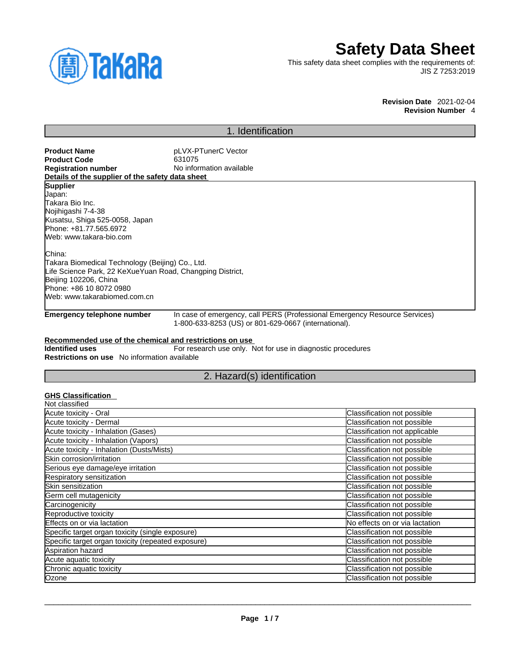

# **Safety Data Sheet**

This safety data sheet complies with the requirements of: JIS Z 7253:2019

**Revision Date** 2021-02-04

**Revision Number** 4

# 1. Identification

**Product Name**<br> **Product Code**<br> **Product Code**<br> **Product Code**<br> **Product Code Product Code**<br>Registration number **No information available Details of the supplier of the safety data sheet Supplier** Japan: Takara Bio Inc. Nojihigashi 7-4-38 Kusatsu, Shiga 525-0058, Japan Phone: +81.77.565.6972 Web: www.takara-bio.com China: Takara Biomedical Technology (Beijing) Co., Ltd. Life Science Park, 22 KeXueYuan Road, Changping District, Beijing 102206, China Phone: +86 10 8072 0980 Web: www.takarabiomed.com.cn

**Emergency telephone number** In case of emergency, call PERS (Professional Emergency Resource Services) 1-800-633-8253 (US) or 801-629-0667 (international).

### **Recommended use of the chemical and restrictions on use**

**Identified uses** For research use only. Not for use in diagnostic procedures **Restrictions on use** No information available

### 2. Hazard(s) identification

### **GHS Classification**

| Classification not possible    |
|--------------------------------|
| Classification not possible    |
| Classification not applicable  |
| Classification not possible    |
| Classification not possible    |
| Classification not possible    |
| Classification not possible    |
| Classification not possible    |
| Classification not possible    |
| Classification not possible    |
| Classification not possible    |
| Classification not possible    |
| No effects on or via lactation |
| Classification not possible    |
| Classification not possible    |
| Classification not possible    |
| Classification not possible    |
| Classification not possible    |
| Classification not possible    |
|                                |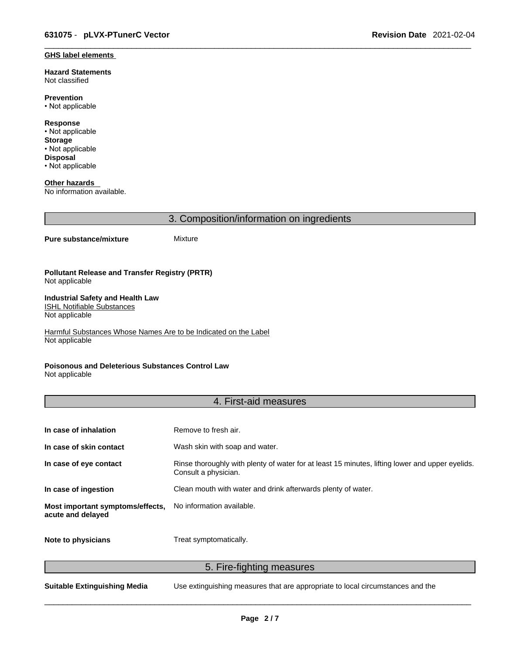#### **GHS label elements**

**Hazard Statements**  Not classified

**Prevention** • Not applicable

**Response** • Not applicable **Storage** • Not applicable **Disposal** • Not applicable

**Other hazards**  No information available.

3. Composition/information on ingredients

#### **Pure substance/mixture** Mixture

#### **Pollutant Release and Transfer Registry (PRTR)** Not applicable

#### **Industrial Safety and Health Law**  ISHL Notifiable Substances

Not applicable

Harmful Substances Whose Names Are to be Indicated on the Label Not applicable

### **Poisonous and Deleterious Substances Control Law**

Not applicable

## 4. First-aid measures

| In case of inhalation                                 | Remove to fresh air.                                                                                                    |
|-------------------------------------------------------|-------------------------------------------------------------------------------------------------------------------------|
| In case of skin contact                               | Wash skin with soap and water.                                                                                          |
| In case of eye contact                                | Rinse thoroughly with plenty of water for at least 15 minutes, lifting lower and upper eyelids.<br>Consult a physician. |
| In case of ingestion                                  | Clean mouth with water and drink afterwards plenty of water.                                                            |
| Most important symptoms/effects,<br>acute and delayed | No information available.                                                                                               |
| Note to physicians                                    | Treat symptomatically.                                                                                                  |

5. Fire-fighting measures

**Suitable Extinguishing Media** Use extinguishing measures that are appropriate to local circumstances and the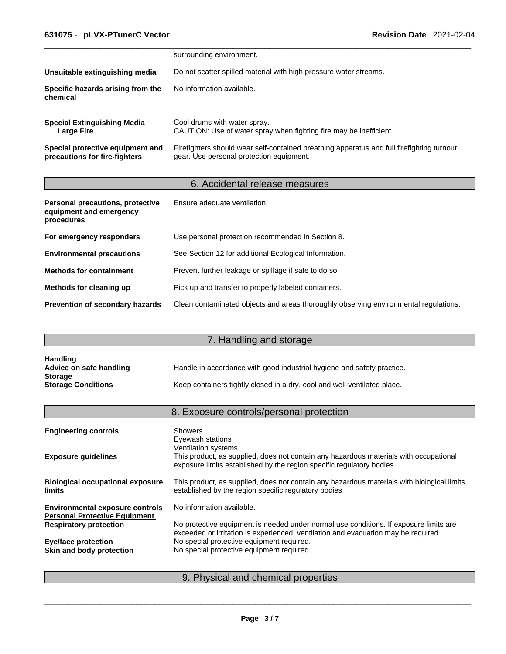|                                                                   | surrounding environment.                                                                                                              |
|-------------------------------------------------------------------|---------------------------------------------------------------------------------------------------------------------------------------|
| Unsuitable extinguishing media                                    | Do not scatter spilled material with high pressure water streams.                                                                     |
| Specific hazards arising from the<br>chemical                     | No information available.                                                                                                             |
| <b>Special Extinguishing Media</b><br>Large Fire                  | Cool drums with water spray.<br>CAUTION: Use of water spray when fighting fire may be inefficient.                                    |
| Special protective equipment and<br>precautions for fire-fighters | Firefighters should wear self-contained breathing apparatus and full firefighting turnout<br>gear. Use personal protection equipment. |

# 6. Accidental release measures

| Personal precautions, protective<br>equipment and emergency<br>procedures | Ensure adequate ventilation.                                                         |
|---------------------------------------------------------------------------|--------------------------------------------------------------------------------------|
| For emergency responders                                                  | Use personal protection recommended in Section 8.                                    |
| <b>Environmental precautions</b>                                          | See Section 12 for additional Ecological Information.                                |
| <b>Methods for containment</b>                                            | Prevent further leakage or spillage if safe to do so.                                |
| Methods for cleaning up                                                   | Pick up and transfer to properly labeled containers.                                 |
| Prevention of secondary hazards                                           | Clean contaminated objects and areas thoroughly observing environmental regulations. |

# 7. Handling and storage

| <b>Handling</b>           |                                                                          |
|---------------------------|--------------------------------------------------------------------------|
| Advice on safe handling   | Handle in accordance with good industrial hygiene and safety practice.   |
| <b>Storage</b>            |                                                                          |
| <b>Storage Conditions</b> | Keep containers tightly closed in a dry, cool and well-ventilated place. |

# 8. Exposure controls/personal protection

| <b>Engineering controls</b>                                                    | <b>Showers</b><br>Eyewash stations<br>Ventilation systems.                                                                                                                  |
|--------------------------------------------------------------------------------|-----------------------------------------------------------------------------------------------------------------------------------------------------------------------------|
| <b>Exposure guidelines</b>                                                     | This product, as supplied, does not contain any hazardous materials with occupational<br>exposure limits established by the region specific regulatory bodies.              |
| <b>Biological occupational exposure</b><br><b>limits</b>                       | This product, as supplied, does not contain any hazardous materials with biological limits<br>established by the region specific regulatory bodies                          |
| <b>Environmental exposure controls</b><br><b>Personal Protective Equipment</b> | No information available.                                                                                                                                                   |
| <b>Respiratory protection</b>                                                  | No protective equipment is needed under normal use conditions. If exposure limits are<br>exceeded or irritation is experienced, ventilation and evacuation may be required. |
| <b>Eye/face protection</b>                                                     | No special protective equipment required.                                                                                                                                   |
| Skin and body protection                                                       | No special protective equipment required.                                                                                                                                   |
|                                                                                |                                                                                                                                                                             |

# 9. Physical and chemical properties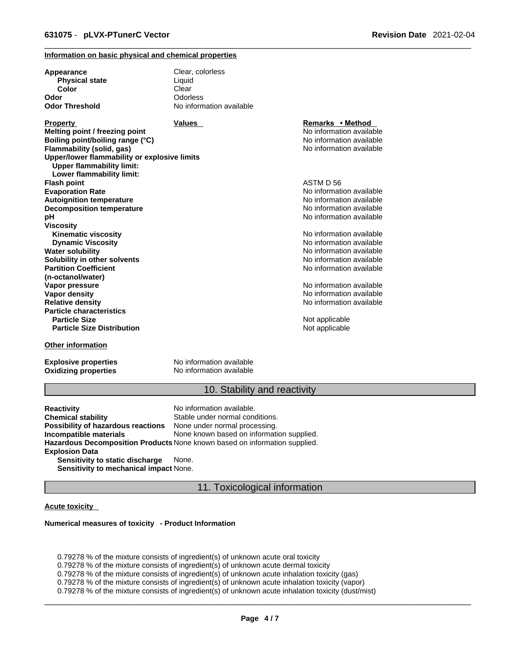#### **Information on basic physical and chemical properties**

| Appearance                                                                       | Clear, colorless         |                          |  |
|----------------------------------------------------------------------------------|--------------------------|--------------------------|--|
| <b>Physical state</b>                                                            | Liquid                   |                          |  |
| Color                                                                            | Clear                    |                          |  |
| Odor                                                                             | Odorless                 |                          |  |
| Odor Threshold                                                                   | No information available |                          |  |
| <b>Property</b>                                                                  | Values                   | Remarks • Method         |  |
| Melting point / freezing point                                                   |                          | No information available |  |
| Boiling point/boiling range (°C)                                                 |                          | No information available |  |
| Flammability (solid, gas)                                                        |                          | No information available |  |
| Upper/lower flammability or explosive limits<br><b>Upper flammability limit:</b> |                          |                          |  |
| Lower flammability limit:                                                        |                          | ASTM D 56                |  |
| Flash point                                                                      |                          |                          |  |
| <b>Evaporation Rate</b>                                                          |                          | No information available |  |
| <b>Autoignition temperature</b>                                                  |                          | No information available |  |
| <b>Decomposition temperature</b>                                                 |                          | No information available |  |
| pН                                                                               |                          | No information available |  |
| Viscosity                                                                        |                          |                          |  |
| <b>Kinematic viscosity</b>                                                       |                          | No information available |  |
| <b>Dynamic Viscosity</b>                                                         |                          | No information available |  |
| Water solubility                                                                 |                          | No information available |  |
| Solubility in other solvents                                                     |                          | No information available |  |
| <b>Partition Coefficient</b>                                                     |                          | No information available |  |
| (n-octanol/water)                                                                |                          |                          |  |
| Vapor pressure                                                                   |                          | No information available |  |
| Vapor density                                                                    |                          | No information available |  |
| <b>Relative density</b>                                                          |                          | No information available |  |
| <b>Particle characteristics</b>                                                  |                          |                          |  |
| <b>Particle Size</b>                                                             |                          | Not applicable           |  |
| <b>Particle Size Distribution</b>                                                |                          | Not applicable           |  |
| <b>Other information</b>                                                         |                          |                          |  |

**Explosive properties**<br> **Oxidizing properties**<br>
No information available **Oxidizing properties** 

### 10. Stability and reactivity

**Reactivity Reactivity Reactivity Chemical stability No information available.**<br> **Chemical stability Reaction** Stable under normal cond Stable under normal conditions.<br>None under normal processing. **Possibility of hazardous reactions Incompatible materials** None known based on information supplied. **Hazardous Decomposition Products** None known based on information supplied. **Explosion Data Sensitivity to static discharge** None. **Sensitivity to mechanical impact** None.

11. Toxicological information

#### **Acute toxicity**

#### **Numerical measures of toxicity - Product Information**

0.79278 % of the mixture consists of ingredient(s) of unknown acute oral toxicity  $0.79278$  % of the mixture consists of ingredient(s) of unknown acute dermal toxicity 0.79278 % of the mixture consists of ingredient(s) of unknown acute inhalation toxicity (gas) 0.79278 % of the mixture consists of ingredient(s) of unknown acute inhalation toxicity (vapor) 0.79278 % of the mixture consists of ingredient(s) of unknown acute inhalation toxicity (dust/mist)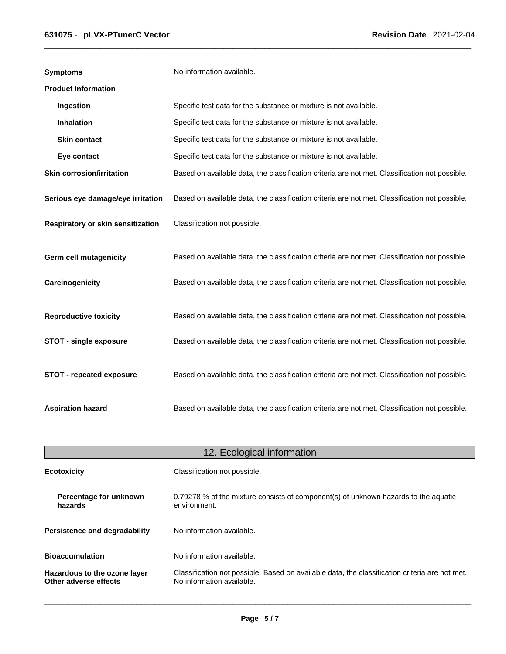| <b>Symptoms</b>                   | No information available.                                                                      |
|-----------------------------------|------------------------------------------------------------------------------------------------|
| <b>Product Information</b>        |                                                                                                |
| Ingestion                         | Specific test data for the substance or mixture is not available.                              |
| Inhalation                        | Specific test data for the substance or mixture is not available.                              |
| <b>Skin contact</b>               | Specific test data for the substance or mixture is not available.                              |
| Eye contact                       | Specific test data for the substance or mixture is not available.                              |
| <b>Skin corrosion/irritation</b>  | Based on available data, the classification criteria are not met. Classification not possible. |
| Serious eye damage/eye irritation | Based on available data, the classification criteria are not met. Classification not possible. |
| Respiratory or skin sensitization | Classification not possible.                                                                   |
| Germ cell mutagenicity            | Based on available data, the classification criteria are not met. Classification not possible. |
| Carcinogenicity                   | Based on available data, the classification criteria are not met. Classification not possible. |
| <b>Reproductive toxicity</b>      | Based on available data, the classification criteria are not met. Classification not possible. |
| <b>STOT - single exposure</b>     | Based on available data, the classification criteria are not met. Classification not possible. |
| <b>STOT - repeated exposure</b>   | Based on available data, the classification criteria are not met. Classification not possible. |
| <b>Aspiration hazard</b>          | Based on available data, the classification criteria are not met. Classification not possible. |

| 12. Ecological information                            |                                                                                                                             |  |
|-------------------------------------------------------|-----------------------------------------------------------------------------------------------------------------------------|--|
| <b>Ecotoxicity</b>                                    | Classification not possible.                                                                                                |  |
| Percentage for unknown<br>hazards                     | 0.79278 % of the mixture consists of component(s) of unknown hazards to the aquatic<br>environment.                         |  |
| Persistence and degradability                         | No information available.                                                                                                   |  |
| <b>Bioaccumulation</b>                                | No information available.                                                                                                   |  |
| Hazardous to the ozone layer<br>Other adverse effects | Classification not possible. Based on available data, the classification criteria are not met.<br>No information available. |  |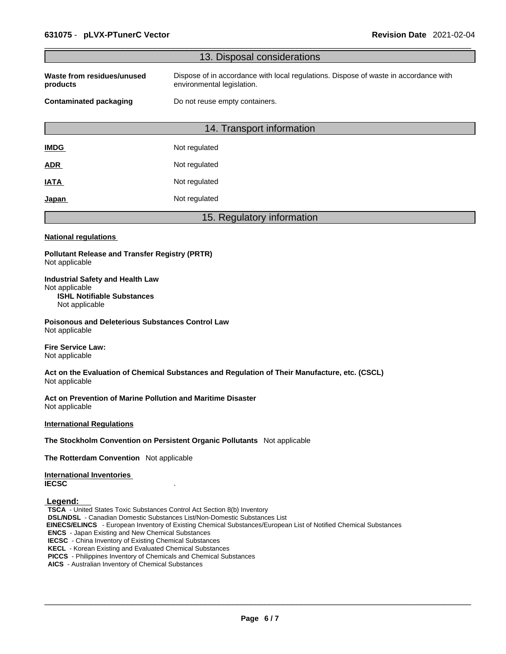| 13. Disposal considerations                                                                                                                                                                                                                                                                                                                                                                                                                                                                                                                                                                                              |
|--------------------------------------------------------------------------------------------------------------------------------------------------------------------------------------------------------------------------------------------------------------------------------------------------------------------------------------------------------------------------------------------------------------------------------------------------------------------------------------------------------------------------------------------------------------------------------------------------------------------------|
|                                                                                                                                                                                                                                                                                                                                                                                                                                                                                                                                                                                                                          |
| Waste from residues/unused<br>Dispose of in accordance with local regulations. Dispose of waste in accordance with<br>environmental legislation.<br>products                                                                                                                                                                                                                                                                                                                                                                                                                                                             |
| <b>Contaminated packaging</b><br>Do not reuse empty containers.                                                                                                                                                                                                                                                                                                                                                                                                                                                                                                                                                          |
| 14. Transport information                                                                                                                                                                                                                                                                                                                                                                                                                                                                                                                                                                                                |
| Not regulated<br><b>IMDG</b>                                                                                                                                                                                                                                                                                                                                                                                                                                                                                                                                                                                             |
| Not regulated<br>ADR                                                                                                                                                                                                                                                                                                                                                                                                                                                                                                                                                                                                     |
| Not regulated<br><b>IATA</b>                                                                                                                                                                                                                                                                                                                                                                                                                                                                                                                                                                                             |
| Not regulated<br><u>Japan</u>                                                                                                                                                                                                                                                                                                                                                                                                                                                                                                                                                                                            |
| 15. Regulatory information                                                                                                                                                                                                                                                                                                                                                                                                                                                                                                                                                                                               |
| <b>National regulations</b>                                                                                                                                                                                                                                                                                                                                                                                                                                                                                                                                                                                              |
| <b>Pollutant Release and Transfer Registry (PRTR)</b><br>Not applicable                                                                                                                                                                                                                                                                                                                                                                                                                                                                                                                                                  |
| <b>Industrial Safety and Health Law</b><br>Not applicable<br><b>ISHL Notifiable Substances</b><br>Not applicable                                                                                                                                                                                                                                                                                                                                                                                                                                                                                                         |
| <b>Poisonous and Deleterious Substances Control Law</b><br>Not applicable                                                                                                                                                                                                                                                                                                                                                                                                                                                                                                                                                |
| <b>Fire Service Law:</b><br>Not applicable                                                                                                                                                                                                                                                                                                                                                                                                                                                                                                                                                                               |
| Act on the Evaluation of Chemical Substances and Regulation of Their Manufacture, etc. (CSCL)<br>Not applicable                                                                                                                                                                                                                                                                                                                                                                                                                                                                                                          |
| Act on Prevention of Marine Pollution and Maritime Disaster<br>Not applicable                                                                                                                                                                                                                                                                                                                                                                                                                                                                                                                                            |
| <b>International Regulations</b>                                                                                                                                                                                                                                                                                                                                                                                                                                                                                                                                                                                         |
| The Stockholm Convention on Persistent Organic Pollutants Not applicable                                                                                                                                                                                                                                                                                                                                                                                                                                                                                                                                                 |
| The Rotterdam Convention Not applicable                                                                                                                                                                                                                                                                                                                                                                                                                                                                                                                                                                                  |
| <b>International Inventories</b><br><b>IECSC</b>                                                                                                                                                                                                                                                                                                                                                                                                                                                                                                                                                                         |
| Legend:<br>TSCA - United States Toxic Substances Control Act Section 8(b) Inventory<br><b>DSL/NDSL</b> - Canadian Domestic Substances List/Non-Domestic Substances List<br>EINECS/ELINCS - European Inventory of Existing Chemical Substances/European List of Notified Chemical Substances<br><b>ENCS</b> - Japan Existing and New Chemical Substances<br><b>IECSC</b> - China Inventory of Existing Chemical Substances<br><b>KECL</b> - Korean Existing and Evaluated Chemical Substances<br>PICCS - Philippines Inventory of Chemicals and Chemical Substances<br>AICS - Australian Inventory of Chemical Substances |